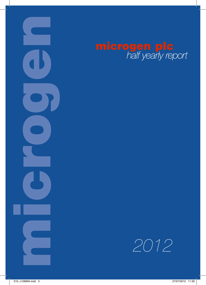

# microgen plc<br>half yearly report

*2012*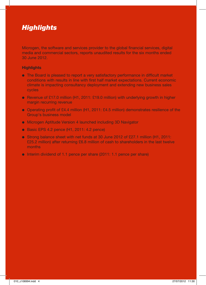# *Highlights*

Microgen, the software and services provider to the global financial services, digital media and commercial sectors, reports unaudited results for the six months ended 30 June 2012.

#### **Highlights**

- The Board is pleased to report a very satisfactory performance in difficult market conditions with results in line with first half market expectations. Current economic climate is impacting consultancy deployment and extending new business sales cycles
- Revenue of £17.0 million (H1, 2011: £19.0 million) with underlying growth in higher margin recurring revenue
- $\bullet$  Operating profit of £4.4 million (H1, 2011: £4.5 million) demonstrates resilience of the Group's business model
- **.** Microgen Aptitude Version 4 launched including 3D Navigator
- $\bullet$  Basic EPS 4.2 pence (H1, 2011: 4.2 pence)
- Strong balance sheet with net funds at 30 June 2012 of £27.1 million (H1, 2011: £25.2 million) after returning £6.8 million of cash to shareholders in the last twelve months
- Interim dividend of 1.1 pence per share (2011: 1.1 pence per share)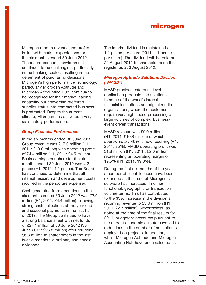Microgen reports revenue and profits in line with market expectations for the six months ended 30 June 2012. The macro-economic environment continues to be challenging, particularly in the banking sector, resulting in the deferment of purchasing decisions. Microgen's high performance technology, particularly Microgen Aptitude and Microgen Accounting Hub, continue to be recognised for their market leading capability but converting preferred supplier status into contracted business is protracted. Despite the current climate, Microgen has delivered a very satisfactory performance.

#### *Group Financial Performance*

In the six months ended 30 June 2012, Group revenue was £17.0 million (H1, 2011: £19.0 million) with operating profit of £4.4 million (H1, 2011: £4.5 million). Basic earnings per share for the six months ended 30 June 2012 was 4.2 pence (H1, 2011: 4.2 pence). The Board has continued to determine that all internal research and development costs incurred in the period are expensed.

Cash generated from operations in the six months ended 30 June 2012 was £2.9 million (H1, 2011: £4.4 million) following strong cash collections at the year end and seasonal payments in the first half of 2012. The Group continues to have a strong balance sheet with net funds of £27.1 million at 30 June 2012 (30 June 2011: £25.2 million) after returning £6.8 million to shareholders in the last twelve months via ordinary and special dividends.

The interim dividend is maintained at 1.1 pence per share (2011: 1.1 pence per share). The dividend will be paid on 24 August 2012 to shareholders on the register as at 3 August 2012.

#### *Microgen Aptitude Solutions Division ("MASD")*

MASD provides enterprise level application products and solutions to some of the world's largest financial institutions and digital media organisations, where the customers require very high speed processing of large volumes of complex, businessevent driven transactions.

MASD revenue was £9.0 million (H1, 2011: £10.8 million) of which approximately 40% is now recurring (H1, 2011: 25%). MASD operating profit was £1.8 million (H1, 2011 : £2.0 million), representing an operating margin of 19.5% (H1, 2011: 19.0%).

During the first six months of the year a number of client licences have been extended as their use of Microgen's software has increased, in either functional, geographic or transaction volume terms. This has contributed to the 33% increase in the division's recurring revenue to £3.6 million (H1, 2011: £2.7 million). Nevertheless, as noted at the time of the final results for 2011, budgetary pressures pursuant to the current economic climate have led to reductions in the number of consultants deployed on projects. In addition, whilst Microgen Aptitude and Microgen Accounting Hub have been selected as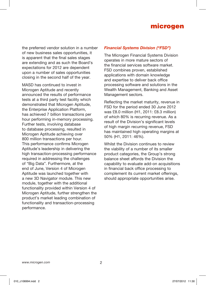

the preferred vendor solution in a number of new business sales opportunities, it is apparent that the final sales stages are extending and as such the Board's expectations for 2012 are dependent upon a number of sales opportunities closing in the second half of the year.

MASD has continued to invest in Microgen Aptitude and recently announced the results of performance tests at a third party test facility which demonstrated that Microgen Aptitude, the Enterprise Application Platform, has achieved 7 billion transactions per hour performing in-memory processing. Further tests, involving database to database processing, resulted in Microgen Aptitude achieving over 800 million transactions per hour. This performance confirms Microgen Aptitude's leadership in delivering the high transaction-processing performance required in addressing the challenges of "Big Data". Furthermore, at the end of June, Version 4 of Microgen Aptitude was launched together with a new 3D Navigator module. This new module, together with the additional functionality provided within Version 4 of Microgen Aptitude, further strengthen the product's market leading combination of functionality and transaction-processing performance.

#### *Financial Systems Division ("FSD")*

The Microgen Financial Systems Division operates in more mature sectors of the financial services software market. FSD combines proven, established applications with domain knowledge and expertise to deliver back office processing software and solutions in the Wealth Management, Banking and Asset Management sectors.

Reflecting the market maturity, revenue in FSD for the period ended 30 June 2012 was £8.0 million (H1, 2011: £8.3 million) of which 80% is recurring revenue. As a result of the Division's significant levels of high margin recurring revenue, FSD has maintained high operating margins at 50% (H1, 2011: 46%).

Whilst the Division continues to review the viability of a number of its smaller product categories, the Group's strong balance sheet affords the Division the capability to evaluate add-on acquisitions in financial back office processing to complement its current market offerings, should appropriate opportunities arise.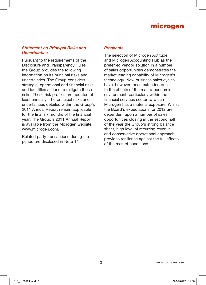#### *Statement on Principal Risks and Uncertainties*

Pursuant to the requirements of the Disclosure and Transparency Rules the Group provides the following information on its principal risks and uncertainties. The Group considers strategic, operational and financial risks and identifies actions to mitigate those risks. These risk profiles are updated at least annually. The principal risks and uncertainties detailed within the Group's 2011 Annual Report remain applicable for the final six months of the financial year. The Group's 2011 Annual Report is available from the Microgen website : www.microgen.com.

Related party transactions during the period are disclosed in Note 14.

#### *Prospects*

The selection of Microgen Aptitude and Microgen Accounting Hub as the preferred vendor solution in a number of sales opportunities demonstrates the market leading capability of Microgen's technology. New business sales cycles have, however, been extended due to the effects of the macro-economic environment, particularly within the financial services sector to which Microgen has a material exposure. Whilst the Board's expectations for 2012 are dependent upon a number of sales opportunities closing in the second half of the year the Group's strong balance sheet, high level of recurring revenue and conservative operational approach provides resilience against the full effects of the market conditions.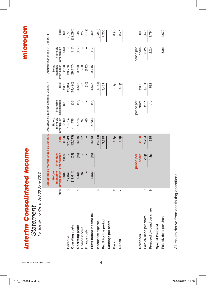| ١<br>ś |            |
|--------|------------|
| ¢      |            |
| j      | +2+222+2+1 |
|        |            |

# Statement

For the six months ended 30 June 2012 *For the six months ended 30 June 2012*

|                             |      |                                             | Unaudited six months ended 30 Jun 2012 Unaudited six months ended 30 Jun 2011 |                         |                                      |                            |                                                      |                                      | Audited year ended 31 Dec 2011 |                         |
|-----------------------------|------|---------------------------------------------|-------------------------------------------------------------------------------|-------------------------|--------------------------------------|----------------------------|------------------------------------------------------|--------------------------------------|--------------------------------|-------------------------|
|                             | Note | amortisation<br>intangible<br><b>Before</b> | amortisation<br>Intangible                                                    | Total                   | intangible<br>amortisation<br>Before | Intangible<br>amortisation | Total                                                | intangible<br>Before<br>amortisation | Intangible<br>amortisation     | Total                   |
|                             |      | £000                                        | £000                                                                          | £000                    | £000                                 | <b>EOOO</b>                | <b>EOOO</b>                                          | <b>£000</b>                          | <b>EOOO</b>                    | <b>£000</b>             |
| Revenue                     | 5    | 17,049                                      |                                                                               | 17,049                  | 19,014                               |                            | 19,014                                               | 38,776                               |                                | 38,776                  |
| Operating costs             |      | (12, 614)                                   | (59)                                                                          | (12, 673)               | (14, 438)                            | (58)                       | (14, 496)                                            | (29, 177)                            | (117)                          | (29, 294)               |
| Operating profit            | 5    | 4,435                                       | (59)                                                                          | 4,376                   | 4,576                                | (58)                       | 4,518                                                | 9,599                                | (117)                          | 9,482                   |
| Finance income              |      | $\frac{2}{9}$                               |                                                                               | $\overline{6}$          | 56                                   |                            | $\overline{6}$                                       | 258                                  |                                | 258                     |
| Finance costs               |      |                                             |                                                                               |                         | $\left( \frac{1}{2} \right)$         |                            | $\left( \begin{matrix} 40 \\ 4 \end{matrix} \right)$ | (142)                                |                                | (142)                   |
| Profit before income tax    |      | 4,532                                       | (59)                                                                          | 4,473                   | 4,633                                | (58)                       | 4,575                                                | 9,715                                | (117)                          | 9,598                   |
| Income tax expense          | ဖ    |                                             |                                                                               |                         |                                      |                            |                                                      |                                      |                                |                         |
| Profit for the period       |      |                                             |                                                                               | $\frac{(1,074)}{3,399}$ |                                      |                            | $\frac{(1,144)}{3,431}$                              |                                      |                                | $\frac{(2,348)}{7,250}$ |
| Earnings per share          |      |                                             |                                                                               |                         |                                      |                            |                                                      |                                      |                                |                         |
| Basic                       |      |                                             |                                                                               | $4.\overline{2}p$       |                                      |                            | 4.2p                                                 |                                      |                                | 8.9p                    |
| Diluted                     | N    |                                             |                                                                               | 4.1p                    |                                      |                            | 4.0p                                                 |                                      |                                | 8.7p                    |
|                             |      |                                             |                                                                               |                         |                                      |                            |                                                      |                                      |                                |                         |
| <b>Dividends</b>            |      |                                             | share<br>pence per                                                            | £000                    |                                      | share<br>pence per         | £000                                                 |                                      | share<br>pence per             | <b>£000</b>             |
| Paid dividend per share     | တ    |                                             | 2.2p                                                                          | 1,794                   |                                      | 2.1p                       | 1,701                                                |                                      | 3.2p                           | 2,575                   |
| Proposed dividend per share | တ    |                                             | 1.1p                                                                          | 898                     |                                      | 1.1p                       | 892                                                  |                                      | 2.2p                           | 1,794                   |
| Special Dividend            |      |                                             |                                                                               |                         |                                      |                            |                                                      |                                      |                                |                         |
| Paid dividend per share     |      |                                             |                                                                               | п                       |                                      |                            |                                                      |                                      | 5.0p                           | 4,070                   |

All results derive from continuing operations. All results derive from continuing operations.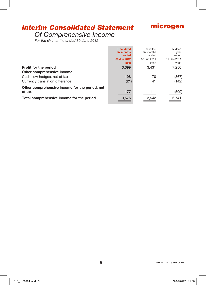# *Interim Consolidated Statement*

# microgen

# *Of Comprehensive Income*

*For the six months ended 30 June 2012*

|                                                | <b>Unaudited</b><br>six months<br>ended | Unaudited<br>six months<br>ended | Audited<br>year<br>ended |
|------------------------------------------------|-----------------------------------------|----------------------------------|--------------------------|
|                                                | 30 Jun 2012                             | 30 Jun 2011                      | 31 Dec 2011              |
|                                                | £000                                    | £000                             | £000                     |
| <b>Profit for the period</b>                   | 3,399                                   | 3,431                            | 7,250                    |
| Other comprehensive income                     |                                         |                                  |                          |
| Cash flow hedges, net of tax                   | 198                                     | 70                               | (367)                    |
| Currency translation difference                | (21)                                    | 41                               | (142)                    |
| Other comprehensive income for the period, net |                                         |                                  |                          |
| of tax                                         | 177                                     | 111                              | (509)                    |
| Total comprehensive income for the period      | 3,576                                   | 3,542                            | 6,741                    |
|                                                |                                         |                                  |                          |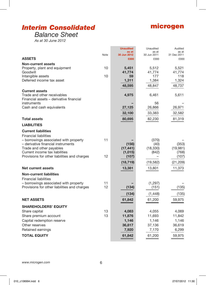# *Interim Consolidated*

# microgen

*Balance Sheet As at 30 June 2012*

|                                                                                | Note | <b>Unaudited</b><br>as at | Unaudited<br>as at<br>30 Jun 2011 | Audited<br>as at    |
|--------------------------------------------------------------------------------|------|---------------------------|-----------------------------------|---------------------|
| <b>ASSETS</b>                                                                  |      | 30 Jun 2012<br>£000       | £000                              | 31 Dec 2011<br>£000 |
| <b>Non-current assets</b>                                                      |      |                           |                                   |                     |
| Property, plant and equipment                                                  | 10   | 5,451                     | 5,512                             | 5,521               |
| Goodwill                                                                       |      | 41,774                    | 41,774                            | 41,774              |
| Intangible assets<br>Deferred income tax asset                                 | 10   | 59<br>1,311               | 177<br>1,384                      | 118<br>1,324        |
|                                                                                |      | 48,595                    | 48,847                            | 48,737              |
| <b>Current assets</b>                                                          |      |                           |                                   |                     |
| Trade and other receivables<br>Financial assets – derivative financial         |      | 4,975                     | 6,461                             | 5,611               |
| instruments                                                                    |      |                           | 56                                |                     |
| Cash and cash equivalents                                                      |      | 27,125                    | 26,866                            | 26,971              |
|                                                                                |      | 32,100                    | 33,383                            | 32,582              |
| <b>Total assets</b>                                                            |      | 80,695                    | 82,230                            | 81,319              |
| <b>LIABILITIES</b>                                                             |      |                           |                                   |                     |
| <b>Current liabilities</b>                                                     |      |                           |                                   |                     |
| <b>Financial liabilities</b><br>- borrowings associated with property          | 11   |                           | (370)                             |                     |
| - derivative financial instruments                                             |      | (156)                     | (40)                              | (353)               |
| Trade and other payables                                                       |      | (17, 441)                 | (18, 330)                         | (19,981)            |
| Current income tax liabilities<br>Provisions for other liabilities and charges | 12   | (1,015)<br>(107)          | (842)                             | (768)<br>(107)      |
|                                                                                |      |                           |                                   |                     |
|                                                                                |      | (18, 719)                 | (19, 582)                         | (21, 209)           |
| <b>Net current assets</b>                                                      |      | 13,381                    | 13,801                            | 11,373              |
| <b>Non-current liabilities</b>                                                 |      |                           |                                   |                     |
| <b>Financial liabilities</b><br>- borrowings associated with property          | 11   |                           | (1, 297)                          |                     |
| Provisions for other liabilities and charges                                   | 12   | (134)                     | (151)                             | (135)               |
|                                                                                |      | (134)                     | (1, 448)                          | (135)               |
|                                                                                |      |                           |                                   |                     |
| <b>NET ASSETS</b>                                                              |      | 61,842                    | 61,200                            | 59,975              |
| <b>SHAREHOLDERS' EQUITY</b>                                                    |      |                           |                                   |                     |
| Share capital                                                                  | 13   | 4,083                     | 4,055                             | 4,069               |
| Share premium account                                                          | 13   | 11,876                    | 11,693                            | 11,842              |
| Capital redemption reserve<br>Other reserves                                   |      | 1,146<br>36,817           | 1,146<br>37,136                   | 1,146<br>36,619     |
| Retained earnings                                                              |      | 7,920                     | 7,170                             | 6,299               |
| <b>TOTAL EQUITY</b>                                                            |      |                           |                                   |                     |
|                                                                                |      | 61,842                    | 61,200                            | 59,975              |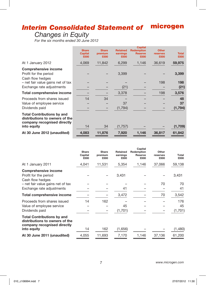# *Interim Consolidated Statement of*

# *Changes in Equity*

*For the six months ended 30 June 2012*

|                                                                                                                   | <b>Share</b><br><b>Capital</b><br>£000 | <b>Share</b><br>premium<br>£000 | <b>Retained</b><br>earnings<br>£000 | <b>Capital</b><br><b>Redemption</b><br><b>Reserve</b><br>£000 | <b>Other</b><br>reserves<br>£000 | <b>Total</b><br>£000 |
|-------------------------------------------------------------------------------------------------------------------|----------------------------------------|---------------------------------|-------------------------------------|---------------------------------------------------------------|----------------------------------|----------------------|
| At 1 January 2012                                                                                                 | 4,069                                  | 11,842                          | 6,299                               | 1,146                                                         | 36,619                           | 59,975               |
| <b>Comprehensive income</b><br>Profit for the period<br>Cash flow hedges                                          |                                        |                                 | 3,399                               |                                                               |                                  | 3,399                |
| - net fair value gains net of tax                                                                                 |                                        |                                 |                                     |                                                               | 198                              | 198                  |
| Exchange rate adjustments                                                                                         |                                        |                                 | (21)                                |                                                               |                                  | (21)                 |
| Total comprehensive income                                                                                        |                                        |                                 | 3,378                               |                                                               | 198                              | 3,576                |
| Proceeds from shares issued                                                                                       | 14                                     | 34                              |                                     |                                                               |                                  | 48                   |
| Value of employee service                                                                                         |                                        |                                 | 37                                  |                                                               |                                  | 37                   |
| Dividends paid                                                                                                    |                                        |                                 | (1,794)                             |                                                               |                                  | (1,794)              |
| <b>Total Contributions by and</b><br>distributions to owners of the<br>company recognised directly<br>into equity | 14                                     | 34                              | (1,757)                             |                                                               |                                  | (1,709)              |
|                                                                                                                   |                                        |                                 |                                     |                                                               |                                  |                      |
| At 30 June 2012 (unaudited)                                                                                       | 4,083                                  | 11,876                          | 7,920                               | 1,146                                                         | 36,817                           | 61,842               |

|                                                                                                                   | Share<br>Capital<br>£000 | Share<br>premium<br>£000 | Retained<br>earnings<br>£000 | Capital<br>Redemption<br><b>Reserve</b><br>£000 | Other<br>reserves<br>£000 | Total<br>£000        |
|-------------------------------------------------------------------------------------------------------------------|--------------------------|--------------------------|------------------------------|-------------------------------------------------|---------------------------|----------------------|
| At 1 January 2011                                                                                                 | 4,041                    | 11,531                   | 5,354                        | 1,146                                           | 37,066                    | 59,138               |
| <b>Comprehensive income</b><br>Profit for the period<br>Cash flow hedges                                          |                          |                          | 3,431                        |                                                 |                           | 3,431                |
| - net fair value gains net of tax<br>Exchange rate adjustments                                                    |                          |                          | 41                           |                                                 | 70                        | 70<br>41             |
| Total comprehensive income                                                                                        |                          |                          | 3,472                        |                                                 | 70                        | 3,542                |
| Proceeds from shares issued<br>Value of employee service<br>Dividends paid                                        | 14                       | 162                      | 45<br>(1,701)                |                                                 |                           | 176<br>45<br>(1,701) |
| <b>Total Contributions by and</b><br>distributions to owners of the<br>company recognised directly<br>into equity | 14                       | 162                      | (1,656)                      |                                                 |                           | (1,480)              |
| At 30 June 2011 (unaudited)                                                                                       | 4,055                    | 11,693                   | 7,170                        | 1,146                                           | 37,136                    | 61,200               |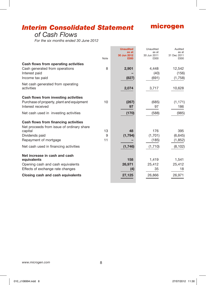# *Interim Consolidated Statement*

# microgen

*of Cash Flows For the six months ended 30 June 2012*

|                                           |      | <b>Unaudited</b>    | Unaudited           | Audited             |
|-------------------------------------------|------|---------------------|---------------------|---------------------|
|                                           |      | as at               | as at               | as at               |
|                                           | Note | 30 Jun 2012<br>£000 | 30 Jun 2011<br>£000 | 31 Dec 2011<br>£000 |
|                                           |      |                     |                     |                     |
| Cash flows from operating activities      |      |                     |                     |                     |
| Cash generated from operations            | 8    | 2,901               | 4,448               | 12,542              |
| Interest paid                             |      |                     | (40)                | (156)               |
| Income tax paid                           |      | (827)               | (691)               | (1,758)             |
|                                           |      |                     |                     |                     |
| Net cash generated from operating         |      |                     |                     |                     |
| activities                                |      | 2,074               | 3,717               | 10,628              |
|                                           |      |                     |                     |                     |
| Cash flows from investing activities      |      |                     |                     |                     |
| Purchase of property, plant and equipment | 10   | (267)               | (685)               | (1, 171)            |
| Interest received                         |      | 97                  | 97                  | 186                 |
|                                           |      |                     |                     |                     |
| Net cash used in investing activities     |      | (170)               | (588)               | (985)               |
|                                           |      |                     |                     |                     |
| Cash flows from financing activities      |      |                     |                     |                     |
| Net proceeds from issue of ordinary share |      |                     |                     |                     |
| capital                                   | 13   | 48                  | 176                 | 395                 |
|                                           | 9    |                     | (1,701)             |                     |
| Dividends paid                            |      | (1,794)             |                     | (6,645)             |
| Repayment of mortgage                     | 11   |                     | (185)               | (1, 852)            |
| Net cash used in financing activities     |      | (1,746)             | (1,710)             | (8, 102)            |
|                                           |      |                     |                     |                     |
| Net increase in cash and cash             |      |                     |                     |                     |
| equivalents                               |      | 158                 | 1,419               | 1,541               |
|                                           |      |                     |                     |                     |
| Opening cash and cash equivalents         |      | 26,971              | 25,412              | 25,412              |
| Effects of exchange rate changes          |      | (4)                 | 35                  | 18                  |
| Closing cash and cash equivalents         |      | 27.125              | 26.866              | 26,971              |
|                                           |      |                     |                     |                     |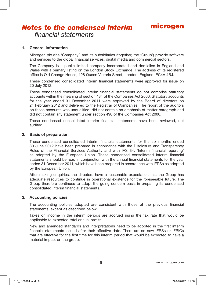# *Notes to the condensed interim financial statements*

#### **1. General information**

Microgen plc (the 'Company') and its subsidiaries (together, the 'Group') provide software and services to the global financial services, digital media and commercial sectors.

The Company is a public limited company incorporated and domiciled in England and Wales with a primary listing on the London Stock Exchange. The address of its registered office is Old Change House, 128 Queen Victoria Street, London, England, EC4V 4BJ.

These condensed consolidated interim financial statements were approved for issue on 20 July 2012.

These condensed consolidated interim financial statements do not comprise statutory accounts within the meaning of section 434 of the Companies Act 2006. Statutory accounts for the year ended 31 December 2011 were approved by the Board of directors on 24 February 2012 and delivered to the Registrar of Companies. The report of the auditors on those accounts was unqualified, did not contain an emphasis of matter paragraph and did not contain any statement under section 498 of the Companies Act 2006.

These condensed consolidated interim financial statements have been reviewed, not audited.

#### **2. Basis of preparation**

These condensed consolidated interim financial statements for the six months ended 30 June 2012 have been prepared in accordance with the Disclosure and Transparency Rules of the Financial Services Authority and with IAS 34, 'Interim financial reporting' as adopted by the European Union. These condensed consolidated interim financial statements should be read in conjunction with the annual financial statements for the year ended 31 December 2011, which have been prepared in accordance with IFRSs as adopted by the European Union.

After making enquiries, the directors have a reasonable expectation that the Group has adequate resources to continue in operational existence for the foreseeable future. The Group therefore continues to adopt the going concern basis in preparing its condensed consolidated interim financial statements.

#### **3. Accounting policies**

The accounting policies adopted are consistent with those of the previous financial statements, except as described below.

Taxes on income in the interim periods are accrued using the tax rate that would be applicable to expected total annual profits.

New and amended standards and interpretations need to be adopted in the first interim financial statements issued after their effective date. There are no new IFRSs or IFRICs that are effective for the first time for this interim period that would be expected to have a material impact on the group.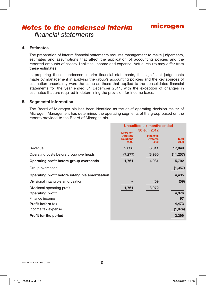#### **4. Estimates**

The preparation of interim financial statements requires management to make judgements, estimates and assumptions that affect the application of accounting policies and the reported amounts of assets, liabilities, income and expense. Actual results may differ from these estimates.

In preparing these condensed interim financial statements, the significant judgements made by management in applying the group's accounting policies and the key sources of estimation uncertainty were the same as those that applied to the consolidated financial statements for the year ended 31 December 2011, with the exception of changes in estimates that are required in determining the provision for income taxes.

#### **5. Segmental information**

The Board of Microgen plc has been identified as the chief operating decision-maker of Microgen. Management has determined the operating segments of the group based on the reports provided to the Board of Microgen plc.

|                                                 |                                     | <b>Unaudited six months ended</b>  |              |
|-------------------------------------------------|-------------------------------------|------------------------------------|--------------|
|                                                 | <b>Microgen</b>                     | 30 Jun 2012                        |              |
|                                                 | <b>Aptitude</b><br><b>Solutions</b> | <b>Financial</b><br><b>Systems</b> | <b>Total</b> |
|                                                 | £000                                | £000                               | £000         |
| Revenue                                         | 9,038                               | 8,011                              | 17,049       |
| Operating costs before group overheads          | (7, 277)                            | (3,980)                            | (11, 257)    |
| Operating profit before group overheads         | 1,761                               | 4,031                              | 5,792        |
| Group overheads                                 |                                     |                                    | (1, 357)     |
| Operating profit before intangible amortisation |                                     |                                    | 4,435        |
| Divisional intangible amortisation              |                                     | (59)                               | (59)         |
| Divisional operating profit                     | 1,761                               | 3,972                              |              |
| <b>Operating profit</b>                         |                                     |                                    | 4,376        |
| Finance income                                  |                                     |                                    | 97           |
| <b>Profit before tax</b>                        |                                     |                                    | 4,473        |
| Income tax expense                              |                                     |                                    | (1,074)      |
| Profit for the period                           |                                     |                                    | 3,399        |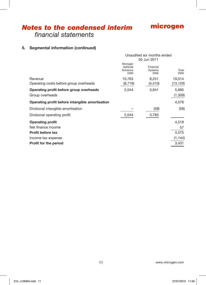#### **5. Segmental information (continued)**

|                                                                                                                          |                                           | Unaudited six months ended<br>30 Jun 2011 |                                           |
|--------------------------------------------------------------------------------------------------------------------------|-------------------------------------------|-------------------------------------------|-------------------------------------------|
|                                                                                                                          | Microgen<br>Aptitude<br>Solutions<br>£000 | Financial<br>Systems<br>£000              | Total<br>£000                             |
| Revenue<br>Operating costs before group overheads                                                                        | 10,763<br>(8,719)                         | 8,251<br>(4, 410)                         | 19,014<br>(13, 129)                       |
| Operating profit before group overheads<br>Group overheads                                                               | 2,044                                     | 3,841                                     | 5,885<br>(1,309)                          |
| Operating profit before intangible amortisation                                                                          |                                           |                                           | 4,576                                     |
| Divisional intangible amortisation                                                                                       |                                           | (58)                                      | (58)                                      |
| Divisional operating profit                                                                                              | 2,044                                     | 3,783                                     |                                           |
| <b>Operating profit</b><br>Net finance income<br>Profit before tax<br>Income tax expense<br><b>Profit for the period</b> |                                           |                                           | 4,518<br>57<br>4,575<br>(1, 144)<br>3.431 |

microgen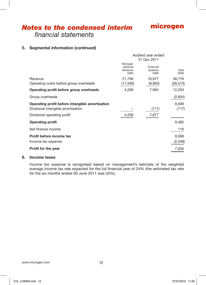#### **5. Segmental information (continued)**

|                                                                                       |                                           | Audited year ended<br>31 Dec 2011 |                    |
|---------------------------------------------------------------------------------------|-------------------------------------------|-----------------------------------|--------------------|
|                                                                                       | Microgen<br>Aptitude<br>Solutions<br>£000 | Financial<br>Systems<br>£000      | Total<br>£000      |
| Revenue<br>Operating costs before group overheads                                     | 21,799<br>(17, 590)                       | 16,977<br>(8,983)                 | 38,776<br>(26,573) |
| Operating profit before group overheads                                               | 4,209                                     | 7,994                             | 12,203             |
| Group overheads                                                                       |                                           |                                   | (2,604)            |
| Operating profit before intangible amortisation<br>Divisional intangible amortisation |                                           | (117)                             | 9,599<br>(117)     |
| Divisional operating profit                                                           | 4,209                                     | 7,877                             |                    |
| <b>Operating profit</b>                                                               |                                           |                                   | 9,482              |
| Net finance income                                                                    |                                           |                                   | 116                |
| Profit before income tax<br>Income tax expense                                        |                                           |                                   | 9,598<br>(2,348)   |
| Profit for the year                                                                   |                                           |                                   | 7,250              |

microgen

#### **6. Income taxes**

Income tax expense is recognised based on management's estimate of the weighted average income tax rate expected for the full financial year of 24% (the estimated tax rate for the six months ended 30 June 2011 was 25%).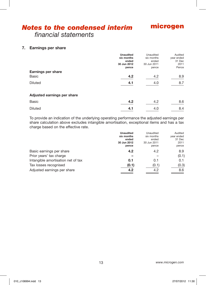# microgen

#### **7. Earnings per share**

|                             | <b>Unaudited</b><br>six months<br>ended<br>30 Jun 2012<br>pence | Unaudited<br>six months<br>ended<br>30 Jun 2011<br>pence | Audited<br>year ended<br>31 Dec<br>2011<br>Pence |
|-----------------------------|-----------------------------------------------------------------|----------------------------------------------------------|--------------------------------------------------|
| Earnings per share          |                                                                 |                                                          |                                                  |
| Basic                       | 4.2                                                             | 4.2                                                      | 8.9                                              |
| <b>Diluted</b>              | 4.1                                                             | 4.0                                                      | 8.7                                              |
| Adjusted earnings per share |                                                                 |                                                          |                                                  |
| <b>Basic</b>                | 4.2                                                             | 4.2                                                      | 8.6                                              |
| <b>Diluted</b>              | 4.1                                                             | 4.0                                                      | 8.4                                              |

To provide an indication of the underlying operating performance the adjusted earnings per share calculation above excludes intangible amortisation, exceptional items and has a tax charge based on the effective rate.

|                                    | <b>Unaudited</b> | Unaudited   | Audited    |
|------------------------------------|------------------|-------------|------------|
|                                    | six months       | six months  | year ended |
|                                    | ended            | ended       | 31 Dec     |
|                                    | 30 Jun 2012      | 30 Jun 2011 | 2011       |
|                                    | pence            | pence       | pence      |
| Basic earnings per share           | 4.2              | 4.2         | 8.9        |
| Prior years' tax charge            |                  |             | (0.1)      |
| Intangible amortisation net of tax | 0.1              | 0.1         | 0.1        |
| Tax losses recognised              | (0.1)            | (0.1)       | (0.3)      |
| Adjusted earnings per share        | 4.2              | 4.2         | 8.6        |
|                                    |                  |             |            |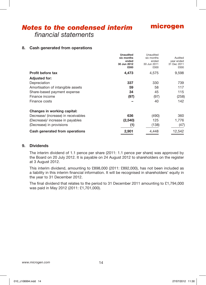#### **8. Cash generated from operations**

|                                     | <b>Unaudited</b><br>six months<br>ended<br>30 Jun 2012<br>£000 | Unaudited<br>six months<br>ended<br>30 Jun 2011<br>£000 | Audited<br>year ended<br>31 Dec 2011<br>£000 |
|-------------------------------------|----------------------------------------------------------------|---------------------------------------------------------|----------------------------------------------|
| <b>Profit before tax</b>            | 4,473                                                          | 4,575                                                   | 9,598                                        |
| <b>Adjusted for:</b>                |                                                                |                                                         |                                              |
| Depreciation                        | 337                                                            | 330                                                     | 739                                          |
| Amortisation of intangible assets   | 59                                                             | 58                                                      | 117                                          |
| Share-based payment expense         | 34                                                             | 45                                                      | 115                                          |
| Finance income                      | (97)                                                           | (97)                                                    | (258)                                        |
| Finance costs                       |                                                                | 40                                                      | 142                                          |
| Changes in working capital:         |                                                                |                                                         |                                              |
| Decrease/ (increase) in receivables | 636                                                            | (490)                                                   | 360                                          |
| (Decrease)/ increase in payables    | (2,540)                                                        | 125                                                     | 1.776                                        |
| (Decrease) in provisions            | (1)                                                            | (138)                                                   | (47)                                         |
| Cash generated from operations      | 2,901                                                          | 4.448                                                   | 12,542                                       |

microgen

#### **9. Dividends**

The interim dividend of 1.1 pence per share (2011: 1.1 pence per share) was approved by the Board on 20 July 2012. It is payable on 24 August 2012 to shareholders on the register at 3 August 2012.

This interim dividend, amounting to £898,000 (2011: £892,000), has not been included as a liability in this interim financial information. It will be recognised in shareholders' equity in the year to 31 December 2012.

The final dividend that relates to the period to 31 December 2011 amounting to £1,794,000 was paid in May 2012 (2011: £1,701,000).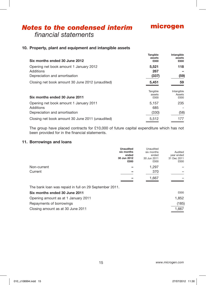#### **10. Property, plant and equipment and intangible assets**

| Six months ended 30 June 2012                                                        | Tangible<br>assets<br>£000 | Intangible<br>assets<br>£000 |
|--------------------------------------------------------------------------------------|----------------------------|------------------------------|
| Opening net book amount 1 January 2012<br>Additions<br>Depreciation and amortisation | 5,521<br>267<br>(337)      | 118<br>(59)                  |
| Closing net book amount 30 June 2012 (unaudited)                                     | 5,451                      | 59                           |
| Six months ended 30 June 2011                                                        | Tangible<br>assets<br>£000 | Intangible<br>Assets<br>£000 |
| Opening net book amount 1 January 2011<br>Additions<br>Depreciation and amortisation | 5.157<br>685<br>(330)      | 235<br>(58)                  |
| Closing net book amount 30 June 2011 (unaudited)                                     | 5.512                      | 177                          |

The group have placed contracts for £10,000 of future capital expenditure which has not been provided for in the financial statements.

#### **11. Borrowings and loans**

|             | <b>Unaudited</b><br>six months<br>ended<br>30 Jun 2012<br>£000 | Unaudited<br>six months<br>ended<br>30 Jun 2011<br>£000 | Audited<br>year ended<br>31 Dec 2011<br>£000 |
|-------------|----------------------------------------------------------------|---------------------------------------------------------|----------------------------------------------|
| Non-current |                                                                | 1,297                                                   |                                              |
| Current     |                                                                | 370                                                     |                                              |
|             |                                                                | 1,667                                                   |                                              |

The bank loan was repaid in full on 29 September 2011.

| Six months ended 30 June 2011       | £000  |
|-------------------------------------|-------|
| Opening amount as at 1 January 2011 | 1.852 |
| Repayments of borrowings            | (185) |
| Closing amount as at 30 June 2011   | 1.667 |

microgen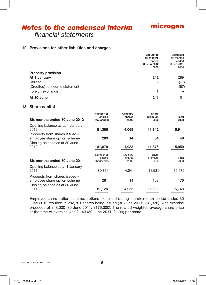# *Notes to the condensed interim financial statements*

#### **12. Provisions for other liabilities and charges**

|                                | Unaudited<br>six months<br>ended<br>30 Jun 2012<br>£000 | Unaudited<br>six months<br>ended<br>30 Jun 2011<br>£000 |
|--------------------------------|---------------------------------------------------------|---------------------------------------------------------|
| <b>Property provision</b>      |                                                         |                                                         |
| At 1 January                   | 242                                                     | 289                                                     |
| Utilised                       |                                                         | (71)                                                    |
| (Credited) to income statement |                                                         | (67)                                                    |
| Foreign exchange               | (1)                                                     |                                                         |
| At 30 June                     | 241                                                     | 151                                                     |

#### **13. Share capital**

| Six months ended 30 June 2012                                                                  | Number of<br>shares<br>(thousands) | Ordinary<br>shares<br>£000 | Share<br>premium<br>£000 | Total<br>£000 |
|------------------------------------------------------------------------------------------------|------------------------------------|----------------------------|--------------------------|---------------|
| Opening balance as at 1 January<br>2012                                                        | 81,396                             | 4,069                      | 11,842                   | 15,911        |
| Proceeds from shares issued -<br>employee share option scheme<br>Closing balance as at 30 June | 283                                | 14                         | 34                       | 48            |
| 2012                                                                                           | 81,679                             | 4,083                      | 11,876                   | 15,959        |
| Six months ended 30 June 2011                                                                  | Number of<br>shares<br>(thousands) | Ordinary<br>shares<br>£000 | Share<br>premium<br>£000 | Total<br>£000 |
| Opening balance as at 1 January<br>2011                                                        | 80,839                             | 4.041                      | 11,531                   | 15,572        |
| Proceeds from shares issued -<br>employee share option scheme<br>Closing balance as at 30 June | 281                                | 14                         | 162                      | 176           |
| 2011                                                                                           | 81,120                             | 4,055                      | 11,693                   | 15,748        |

Employee share option scheme: options exercised during the six month period ended 30 June 2012 resulted in 282,701 shares being issued (30 June 2011: 281,336), with exercise proceeds of £48,000 (30 June 2011: £176,000). The related weighted average share price at the time of exercise was £1.43 (30 June 2011: £1.39) per share.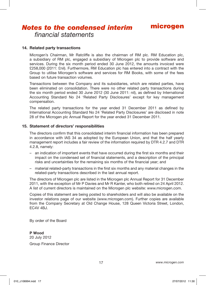#### **14. Related party transactions**

Microgen's Chairman, Mr Ratcliffe is also the chairman of RM plc. RM Education plc, a subsidiary of RM plc, engaged a subsidiary of Microgen plc to provide software and services. During the six month period ended 30 June 2012, the amounts invoiced were £258,000 (2011: £nil). Furthermore, RM Education plc has entered into a contract with the Group to utilise Microgen's software and services for RM Books, with some of the fees based on future transaction volumes.

Transactions between the Company and its subsidiaries, which are related parties, have been eliminated on consolidation. There were no other related party transactions during the six month period ended 30 June 2012 (30 June 2011: nil), as defined by International Accounting Standard No 24 'Related Party Disclosures' except for key management compensation.

The related party transactions for the year ended 31 December 2011 as defined by International Accounting Standard No 24 'Related Party Disclosures' are disclosed in note 28 of the Microgen plc Annual Report for the year ended 31 December 2011.

#### **15. Statement of directors' responsibilities**

The directors confirm that this consolidated interim financial information has been prepared in accordance with IAS 34 as adopted by the European Union, and that the half yearly management report includes a fair review of the information required by DTR 4.2.7 and DTR 4.2.8, namely:

- an indication of important events that have occurred during the first six months and their impact on the condensed set of financial statements, and a description of the principal risks and uncertainties for the remaining six months of the financial year; and
- material related-party transactions in the first six months and any material changes in the related-party transactions described in the last annual report.

The directors of Microgen plc are listed in the Microgen plc Annual Report for 31 December 2011, with the exception of Mr P Davies and Mr R Kanter, who both retired on 24 April 2012. A list of current directors is maintained on the Microgen plc website: www.microgen.com.

Copies of this statement are being posted to shareholders and will also be available on the investor relations page of our website (www.microgen.com). Further copies are available from the Company Secretary at Old Change House, 128 Queen Victoria Street, London, EC4V 4BJ.

By order of the Board

**P Wood**  20 July 2012 Group Finance Director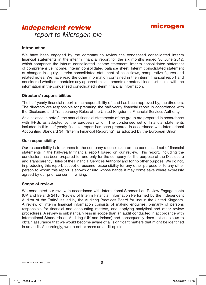# *Independent review report to Microgen plc*

# microgen

#### **Introduction**

We have been engaged by the company to review the condensed consolidated interim financial statements in the interim financial report for the six months ended 30 June 2012, which comprises the Interim consolidated income statement, Interim consolidated statement of comprehensive income, Interim consolidated balance sheet, Interim consolidated statement of changes in equity, Interim consolidated statement of cash flows, comparative figures and related notes. We have read the other information contained in the interim financial report and considered whether it contains any apparent misstatements or material inconsistencies with the information in the condensed consolidated interim financial information.

#### **Directors' responsibilities**

The half-yearly financial report is the responsibility of, and has been approved by, the directors. The directors are responsible for preparing the half-yearly financial report in accordance with the Disclosure and Transparency Rules of the United Kingdom's Financial Services Authority.

As disclosed in note 2, the annual financial statements of the group are prepared in accordance with IFRSs as adopted by the European Union. The condensed set of financial statements included in this half-yearly financial report has been prepared in accordance with International Accounting Standard 34, "Interim Financial Reporting", as adopted by the European Union.

#### **Our responsibility**

Our responsibility is to express to the company a conclusion on the condensed set of financial statements in the half-yearly financial report based on our review. This report, including the conclusion, has been prepared for and only for the company for the purpose of the Disclosure and Transparency Rules of the Financial Services Authority and for no other purpose. We do not, in producing this report, accept or assume responsibility for any other purpose or to any other person to whom this report is shown or into whose hands it may come save where expressly agreed by our prior consent in writing.

#### **Scope of review**

We conducted our review in accordance with International Standard on Review Engagements (UK and Ireland) 2410, 'Review of Interim Financial Information Performed by the Independent Auditor of the Entity' issued by the Auditing Practices Board for use in the United Kingdom. A review of interim financial information consists of making enquiries, primarily of persons responsible for financial and accounting matters, and applying analytical and other review procedures. A review is substantially less in scope than an audit conducted in accordance with International Standards on Auditing (UK and Ireland) and consequently does not enable us to obtain assurance that we would become aware of all significant matters that might be identified in an audit. Accordingly, we do not express an audit opinion.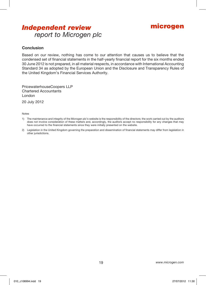# *Independent review report to Microgen plc*



#### **Conclusion**

Based on our review, nothing has come to our attention that causes us to believe that the condensed set of financial statements in the half-yearly financial report for the six months ended 30 June 2012 is not prepared, in all material respects, in accordance with International Accounting Standard 34 as adopted by the European Union and the Disclosure and Transparency Rules of the United Kingdom's Financial Services Authority.

PricewaterhouseCoopers LLP Chartered Accountants London

20 July 2012

Notes

- 1) The maintenance and integrity of the Microgen plc's website is the responsibility of the directors; the work carried out by the auditors does not involve consideration of these matters and, accordingly, the auditors accept no responsibility for any changes that may have occurred to the financial statements since they were initially presented on the website.
- 2) Legislation in the United Kingdom governing the preparation and dissemination of financial statements may differ from legislation in other jurisdictions.